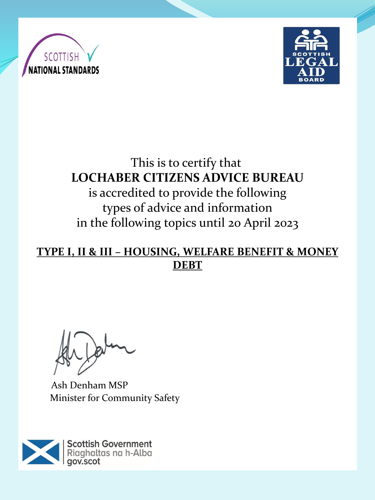



# This is to certify that **LOCHABER CITIZENS ADVICE BUREAU** is accredited to provide the following types of advice and information in the following topics until 20 April 2023

#### **TYPE I, II & III – HOUSING, WELFARE BENEFIT & MONEY DEBT**

Ash Denham MSP Minister for Community Safety

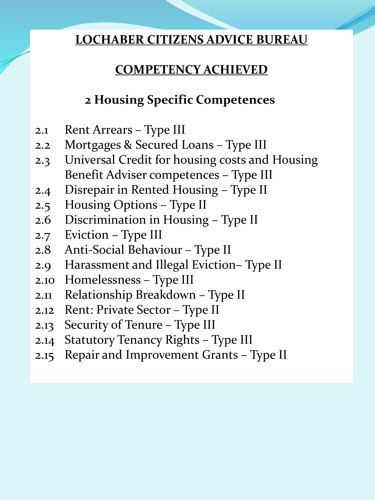# **COMPETENCY ACHIEVED**

# **2 Housing Specific Competences**

- 2.1 Rent Arrears Type III
- 2.2 Mortgages & Secured Loans Type III
- 2.3 Universal Credit for housing costs and Housing Benefit Adviser competences – Type III
- 2.4 Disrepair in Rented Housing Type II
- 2.5 Housing Options Type II
- 2.6 Discrimination in Housing Type II
- 2.7 Eviction Type III
- 2.8 Anti-Social Behaviour Type II
- 2.9 Harassment and Illegal Eviction– Type II
- 2.10 Homelessness Type III
- 2.11 Relationship Breakdown Type II
- 2.12 Rent: Private Sector Type II
- 2.13 Security of Tenure Type III
- 2.14 Statutory Tenancy Rights Type III
- 2.15 Repair and Improvement Grants Type II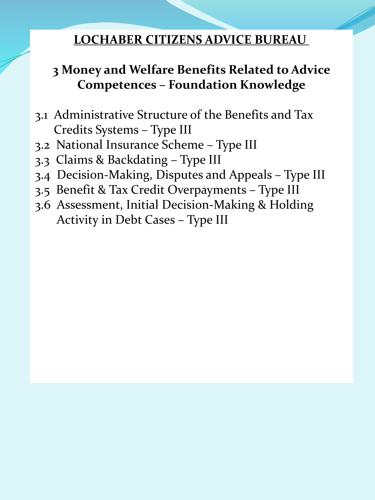# **3 Money and Welfare Benefits Related to Advice Competences – Foundation Knowledge**

- 3.1 Administrative Structure of the Benefits and Tax Credits Systems – Type III
- 3.2 National Insurance Scheme Type III
- 3.3 Claims & Backdating Type III
- 3.4 Decision-Making, Disputes and Appeals Type III
- 3.5 Benefit & Tax Credit Overpayments Type III
- 3.6 Assessment, Initial Decision-Making & Holding Activity in Debt Cases – Type III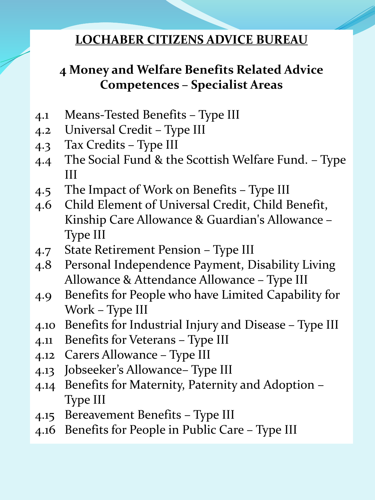# **4 Money and Welfare Benefits Related Advice Competences – Specialist Areas**

- 4.1 Means-Tested Benefits Type III
- 4.2 Universal Credit Type III
- 4.3 Tax Credits Type III
- 4.4 The Social Fund & the Scottish Welfare Fund. Type III
- 4.5 The Impact of Work on Benefits Type III
- 4.6 Child Element of Universal Credit, Child Benefit, Kinship Care Allowance & Guardian's Allowance – Type III
- 4.7 State Retirement Pension Type III
- 4.8 Personal Independence Payment, Disability Living Allowance & Attendance Allowance – Type III
- 4.9 Benefits for People who have Limited Capability for Work – Type III
- 4.10 Benefits for Industrial Injury and Disease Type III
- 4.11 Benefits for Veterans Type III
- 4.12 Carers Allowance Type III
- 4.13 Jobseeker's Allowance– Type III
- 4.14 Benefits for Maternity, Paternity and Adoption Type III
- 4.15 Bereavement Benefits Type III
- 4.16 Benefits for People in Public Care Type III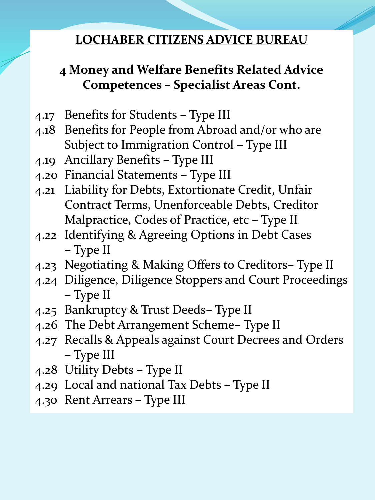# **4 Money and Welfare Benefits Related Advice Competences – Specialist Areas Cont.**

- 4.17 Benefits for Students Type III
- 4.18 Benefits for People from Abroad and/or who are Subject to Immigration Control – Type III
- 4.19 Ancillary Benefits Type III
- 4.20 Financial Statements Type III
- 4.21 Liability for Debts, Extortionate Credit, Unfair Contract Terms, Unenforceable Debts, Creditor Malpractice, Codes of Practice, etc – Type II
- 4.22 Identifying & Agreeing Options in Debt Cases – Type II
- 4.23 Negotiating & Making Offers to Creditors– Type II
- 4.24 Diligence, Diligence Stoppers and Court Proceedings – Type II
- 4.25 Bankruptcy & Trust Deeds– Type II
- 4.26 The Debt Arrangement Scheme– Type II
- 4.27 Recalls & Appeals against Court Decrees and Orders – Type III
- 4.28 Utility Debts Type II
- 4.29 Local and national Tax Debts Type II
- 4.30 Rent Arrears Type III